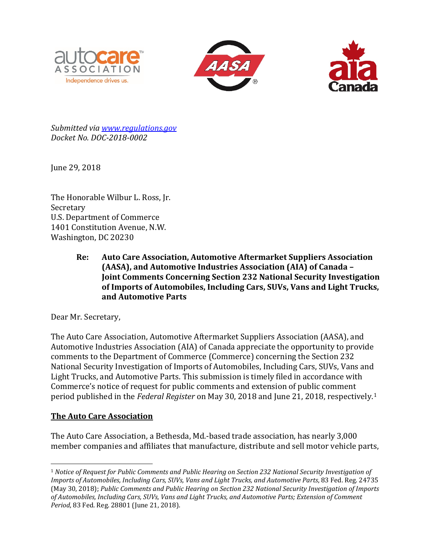





*Submitted vi[a www.regulations.gov](http://www.regulations.gov/) Docket No. DOC-2018-0002*

June 29, 2018

The Honorable Wilbur L. Ross, Jr. Secretary U.S. Department of Commerce 1401 Constitution Avenue, N.W. Washington, DC 20230

> **Re: Auto Care Association, Automotive Aftermarket Suppliers Association (AASA), and Automotive Industries Association (AIA) of Canada – Joint Comments Concerning Section 232 National Security Investigation of Imports of Automobiles, Including Cars, SUVs, Vans and Light Trucks, and Automotive Parts**

Dear Mr. Secretary,

The Auto Care Association, Automotive Aftermarket Suppliers Association (AASA), and Automotive Industries Association (AIA) of Canada appreciate the opportunity to provide comments to the Department of Commerce (Commerce) concerning the Section 232 National Security Investigation of Imports of Automobiles, Including Cars, SUVs, Vans and Light Trucks, and Automotive Parts. This submission is timely filed in accordance with Commerce's notice of request for public comments and extension of public comment period published in the *Federal Register* on May 30, 2018 and June 21, 2018, respectively.[1](#page-0-0)

#### **The Auto Care Association**

 $\overline{\phantom{a}}$ 

The Auto Care Association, a Bethesda, Md.-based trade association, has nearly 3,000 member companies and affiliates that manufacture, distribute and sell motor vehicle parts,

<span id="page-0-0"></span><sup>1</sup> *Notice of Request for Public Comments and Public Hearing on Section 232 National Security Investigation of Imports of Automobiles, Including Cars, SUVs, Vans and Light Trucks, and Automotive Parts*, 83 Fed. Reg. 24735 (May 30, 2018); *Public Comments and Public Hearing on Section 232 National Security Investigation of Imports of Automobiles, Including Cars, SUVs, Vans and Light Trucks, and Automotive Parts; Extension of Comment Period*, 83 Fed. Reg. 28801 (June 21, 2018).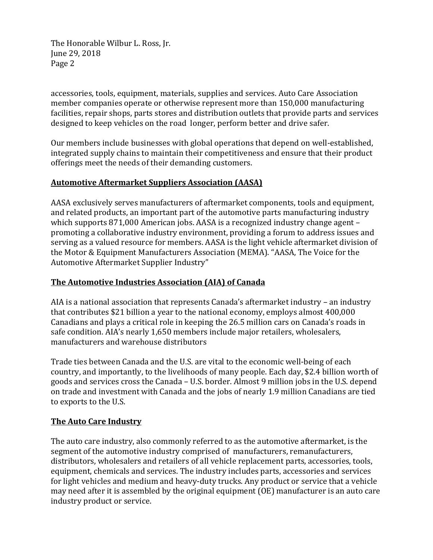The Honorable Wilbur L. Ross, Jr. June 29, 2018 Page 2

accessories, tools, equipment, materials, supplies and services. Auto Care Association member companies operate or otherwise represent more than 150,000 manufacturing facilities, repair shops, parts stores and distribution outlets that provide parts and services designed to keep vehicles on the road longer, perform better and drive safer.

Our members include businesses with global operations that depend on well-established, integrated supply chains to maintain their competitiveness and ensure that their product offerings meet the needs of their demanding customers.

### **Automotive Aftermarket Suppliers Association (AASA)**

AASA exclusively serves manufacturers of aftermarket components, tools and equipment, and related products, an important part of the automotive parts manufacturing industry which supports 871,000 American jobs. AASA is a recognized industry change agent – promoting a collaborative industry environment, providing a forum to address issues and serving as a valued resource for members. AASA is the light vehicle aftermarket division of the Motor & Equipment Manufacturers Association (MEMA). "AASA, The Voice for the Automotive Aftermarket Supplier Industry"

### **The Automotive Industries Association (AIA) of Canada**

AIA is a national association that represents Canada's aftermarket industry – an industry that contributes \$21 billion a year to the national economy, employs almost 400,000 Canadians and plays a critical role in keeping the 26.5 million cars on Canada's roads in safe condition. AIA's nearly 1,650 members include major retailers, wholesalers, manufacturers and warehouse distributors

Trade ties between Canada and the U.S. are vital to the economic well-being of each country, and importantly, to the livelihoods of many people. Each day, \$2.4 billion worth of goods and services cross the Canada – U.S. border. Almost 9 million jobs in the U.S. depend on trade and investment with Canada and the jobs of nearly 1.9 million Canadians are tied to exports to the U.S.

#### **The Auto Care Industry**

The auto care industry, also commonly referred to as the automotive aftermarket, is the segment of the automotive industry comprised of manufacturers, remanufacturers, distributors, wholesalers and retailers of all vehicle replacement parts, accessories, tools, equipment, chemicals and services. The industry includes parts, accessories and services for light vehicles and medium and heavy-duty trucks. Any product or service that a vehicle may need after it is assembled by the original equipment (OE) manufacturer is an auto care industry product or service.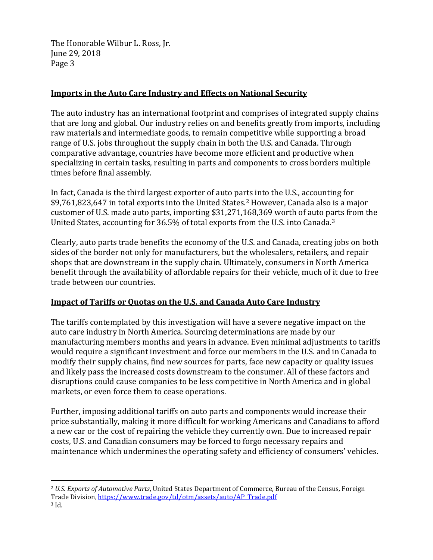The Honorable Wilbur L. Ross, Jr. June 29, 2018 Page 3

## **Imports in the Auto Care Industry and Effects on National Security**

The auto industry has an international footprint and comprises of integrated supply chains that are long and global. Our industry relies on and benefits greatly from imports, including raw materials and intermediate goods, to remain competitive while supporting a broad range of U.S. jobs throughout the supply chain in both the U.S. and Canada. Through comparative advantage, countries have become more efficient and productive when specializing in certain tasks, resulting in parts and components to cross borders multiple times before final assembly.

In fact, Canada is the third largest exporter of auto parts into the U.S., accounting for \$9,761,8[2](#page-2-0)3,647 in total exports into the United States.<sup>2</sup> However, Canada also is a major customer of U.S. made auto parts, importing \$31,271,168,369 worth of auto parts from the United States, accounting for 36.5% of total exports from the U.S. into Canada.[3](#page-2-1)

Clearly, auto parts trade benefits the economy of the U.S. and Canada, creating jobs on both sides of the border not only for manufacturers, but the wholesalers, retailers, and repair shops that are downstream in the supply chain. Ultimately, consumers in North America benefit through the availability of affordable repairs for their vehicle, much of it due to free trade between our countries.

# **Impact of Tariffs or Quotas on the U.S. and Canada Auto Care Industry**

The tariffs contemplated by this investigation will have a severe negative impact on the auto care industry in North America. Sourcing determinations are made by our manufacturing members months and years in advance. Even minimal adjustments to tariffs would require a significant investment and force our members in the U.S. and in Canada to modify their supply chains, find new sources for parts, face new capacity or quality issues and likely pass the increased costs downstream to the consumer. All of these factors and disruptions could cause companies to be less competitive in North America and in global markets, or even force them to cease operations.

Further, imposing additional tariffs on auto parts and components would increase their price substantially, making it more difficult for working Americans and Canadians to afford a new car or the cost of repairing the vehicle they currently own. Due to increased repair costs, U.S. and Canadian consumers may be forced to forgo necessary repairs and maintenance which undermines the operating safety and efficiency of consumers' vehicles.

l

<span id="page-2-1"></span><span id="page-2-0"></span><sup>2</sup> *U.S. Exports of Automotive Parts*, United States Department of Commerce, Bureau of the Census, Foreign Trade Division, [https://www.trade.gov/td/otm/assets/auto/AP\\_Trade.pdf](https://www.trade.gov/td/otm/assets/auto/AP_Trade.pdf)